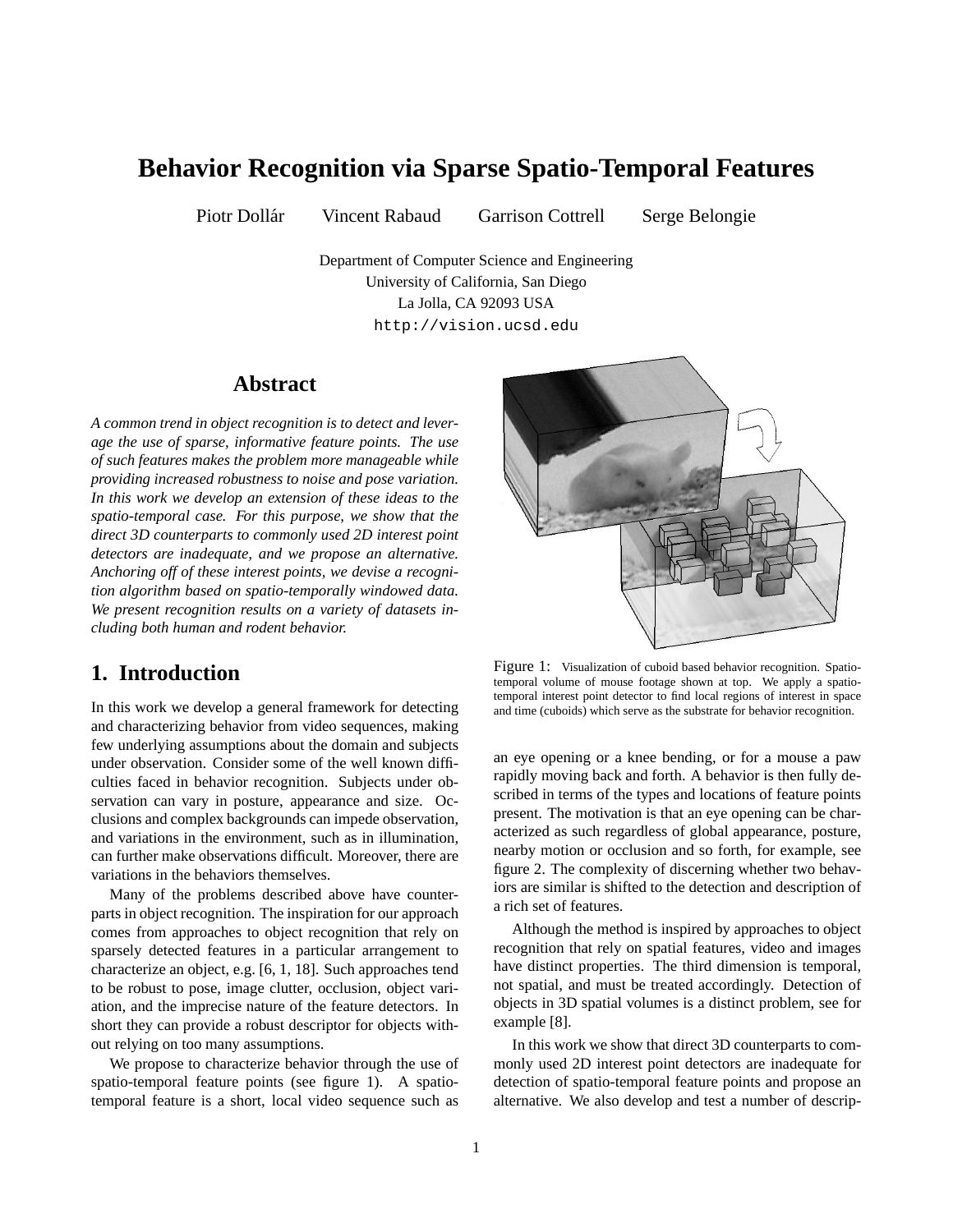# **Behavior Recognition via Sparse Spatio-Temporal Features**

Piotr Dollar Vincent Rabaud Garrison Cottrell Serge Belongie ´

Department of Computer Science and Engineering University of California, San Diego La Jolla, CA 92093 USA http://vision.ucsd.edu

### **Abstract**

*A common trend in object recognition is to detect and leverage the use of sparse, informative feature points. The use of such features makes the problem more manageable while providing increased robustness to noise and pose variation. In this work we develop an extension of these ideas to the spatio-temporal case. For this purpose, we show that the direct 3D counterparts to commonly used 2D interest point detectors are inadequate, and we propose an alternative. Anchoring off of these interest points, we devise a recognition algorithm based on spatio-temporally windowed data. We present recognition results on a variety of datasets including both human and rodent behavior.*

## **1. Introduction**

In this work we develop a general framework for detecting and characterizing behavior from video sequences, making few underlying assumptions about the domain and subjects under observation. Consider some of the well known difficulties faced in behavior recognition. Subjects under observation can vary in posture, appearance and size. Occlusions and complex backgrounds can impede observation, and variations in the environment, such as in illumination, can further make observations difficult. Moreover, there are variations in the behaviors themselves.

Many of the problems described above have counterparts in object recognition. The inspiration for our approach comes from approaches to object recognition that rely on sparsely detected features in a particular arrangement to characterize an object, e.g. [6, 1, 18]. Such approaches tend to be robust to pose, image clutter, occlusion, object variation, and the imprecise nature of the feature detectors. In short they can provide a robust descriptor for objects without relying on too many assumptions.

We propose to characterize behavior through the use of spatio-temporal feature points (see figure 1). A spatiotemporal feature is a short, local video sequence such as



Figure 1: Visualization of cuboid based behavior recognition. Spatiotemporal volume of mouse footage shown at top. We apply a spatiotemporal interest point detector to find local regions of interest in space and time (cuboids) which serve as the substrate for behavior recognition.

an eye opening or a knee bending, or for a mouse a paw rapidly moving back and forth. A behavior is then fully described in terms of the types and locations of feature points present. The motivation is that an eye opening can be characterized as such regardless of global appearance, posture, nearby motion or occlusion and so forth, for example, see figure 2. The complexity of discerning whether two behaviors are similar is shifted to the detection and description of a rich set of features.

Although the method is inspired by approaches to object recognition that rely on spatial features, video and images have distinct properties. The third dimension is temporal, not spatial, and must be treated accordingly. Detection of objects in 3D spatial volumes is a distinct problem, see for example [8].

In this work we show that direct 3D counterparts to commonly used 2D interest point detectors are inadequate for detection of spatio-temporal feature points and propose an alternative. We also develop and test a number of descrip-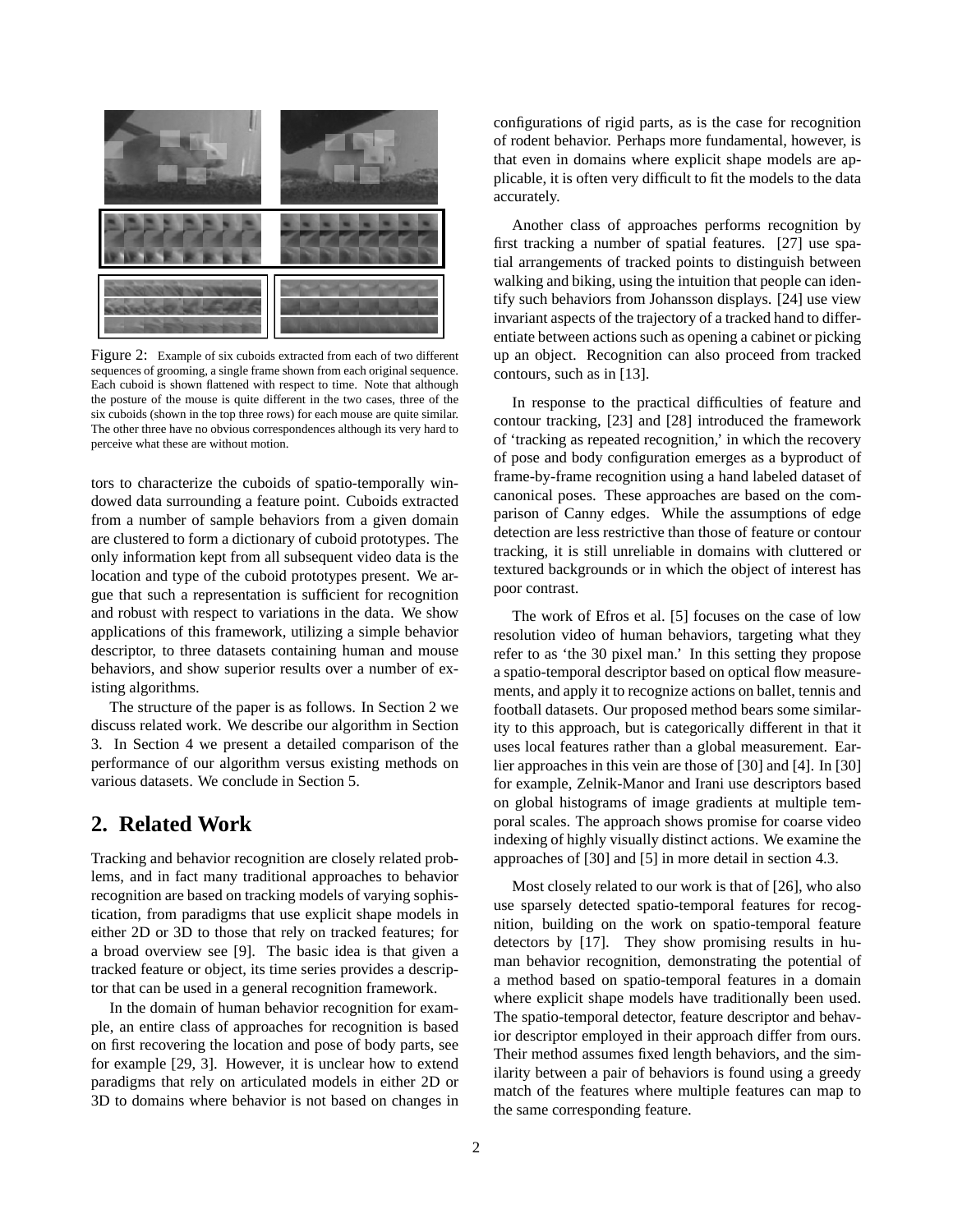

Figure 2: Example of six cuboids extracted from each of two different sequences of grooming, a single frame shown from each original sequence. Each cuboid is shown flattened with respect to time. Note that although the posture of the mouse is quite different in the two cases, three of the six cuboids (shown in the top three rows) for each mouse are quite similar. The other three have no obvious correspondences although its very hard to perceive what these are without motion.

tors to characterize the cuboids of spatio-temporally windowed data surrounding a feature point. Cuboids extracted from a number of sample behaviors from a given domain are clustered to form a dictionary of cuboid prototypes. The only information kept from all subsequent video data is the location and type of the cuboid prototypes present. We argue that such a representation is sufficient for recognition and robust with respect to variations in the data. We show applications of this framework, utilizing a simple behavior descriptor, to three datasets containing human and mouse behaviors, and show superior results over a number of existing algorithms.

The structure of the paper is as follows. In Section 2 we discuss related work. We describe our algorithm in Section 3. In Section 4 we present a detailed comparison of the performance of our algorithm versus existing methods on various datasets. We conclude in Section 5.

## **2. Related Work**

Tracking and behavior recognition are closely related problems, and in fact many traditional approaches to behavior recognition are based on tracking models of varying sophistication, from paradigms that use explicit shape models in either 2D or 3D to those that rely on tracked features; for a broad overview see [9]. The basic idea is that given a tracked feature or object, its time series provides a descriptor that can be used in a general recognition framework.

In the domain of human behavior recognition for example, an entire class of approaches for recognition is based on first recovering the location and pose of body parts, see for example [29, 3]. However, it is unclear how to extend paradigms that rely on articulated models in either 2D or 3D to domains where behavior is not based on changes in configurations of rigid parts, as is the case for recognition of rodent behavior. Perhaps more fundamental, however, is that even in domains where explicit shape models are applicable, it is often very difficult to fit the models to the data accurately.

Another class of approaches performs recognition by first tracking a number of spatial features. [27] use spatial arrangements of tracked points to distinguish between walking and biking, using the intuition that people can identify such behaviors from Johansson displays. [24] use view invariant aspects of the trajectory of a tracked hand to differentiate between actions such as opening a cabinet or picking up an object. Recognition can also proceed from tracked contours, such as in [13].

In response to the practical difficulties of feature and contour tracking, [23] and [28] introduced the framework of 'tracking as repeated recognition,' in which the recovery of pose and body configuration emerges as a byproduct of frame-by-frame recognition using a hand labeled dataset of canonical poses. These approaches are based on the comparison of Canny edges. While the assumptions of edge detection are less restrictive than those of feature or contour tracking, it is still unreliable in domains with cluttered or textured backgrounds or in which the object of interest has poor contrast.

The work of Efros et al. [5] focuses on the case of low resolution video of human behaviors, targeting what they refer to as 'the 30 pixel man.' In this setting they propose a spatio-temporal descriptor based on optical flow measurements, and apply it to recognize actions on ballet, tennis and football datasets. Our proposed method bears some similarity to this approach, but is categorically different in that it uses local features rather than a global measurement. Earlier approaches in this vein are those of [30] and [4]. In [30] for example, Zelnik-Manor and Irani use descriptors based on global histograms of image gradients at multiple temporal scales. The approach shows promise for coarse video indexing of highly visually distinct actions. We examine the approaches of [30] and [5] in more detail in section 4.3.

Most closely related to our work is that of [26], who also use sparsely detected spatio-temporal features for recognition, building on the work on spatio-temporal feature detectors by [17]. They show promising results in human behavior recognition, demonstrating the potential of a method based on spatio-temporal features in a domain where explicit shape models have traditionally been used. The spatio-temporal detector, feature descriptor and behavior descriptor employed in their approach differ from ours. Their method assumes fixed length behaviors, and the similarity between a pair of behaviors is found using a greedy match of the features where multiple features can map to the same corresponding feature.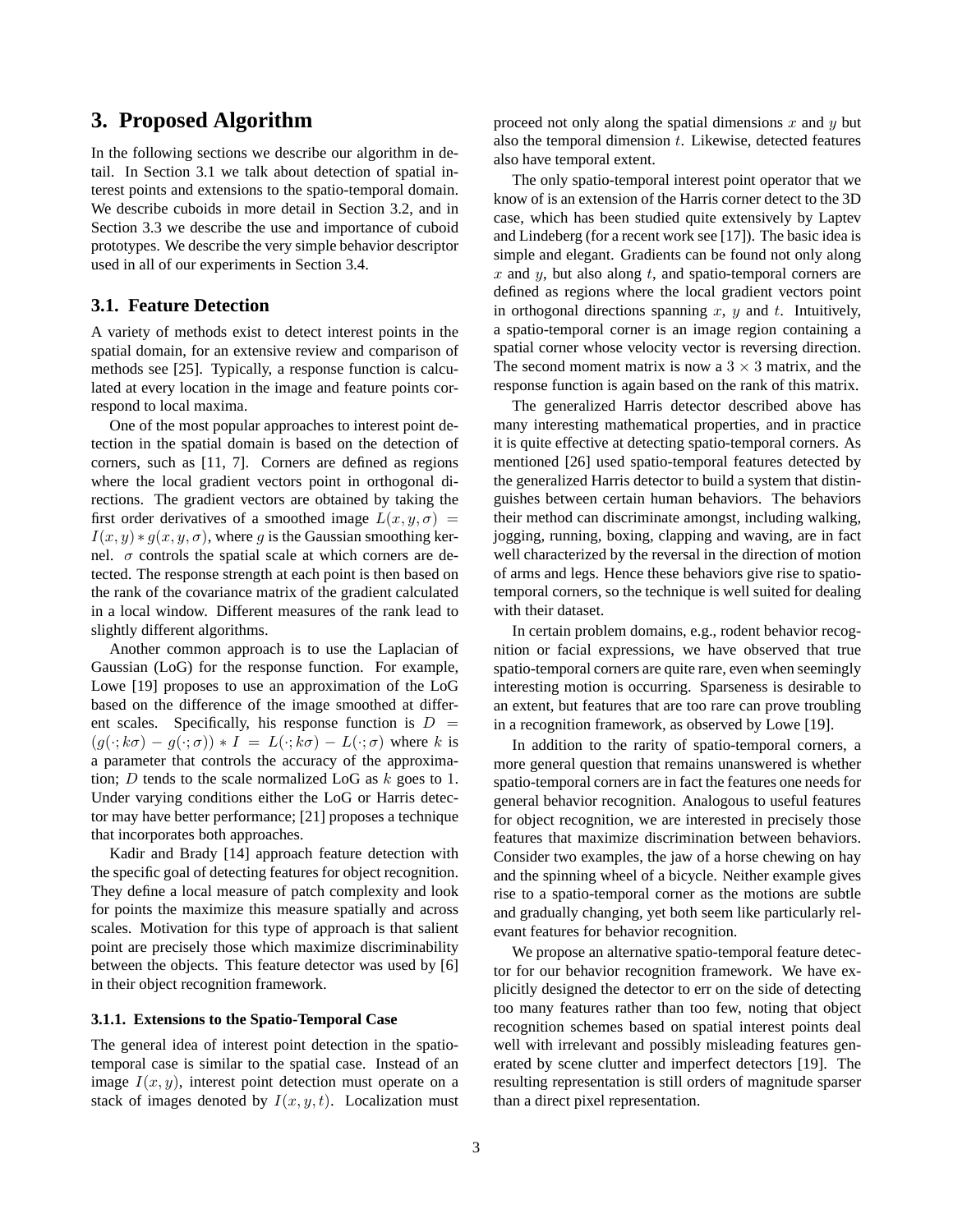## **3. Proposed Algorithm**

In the following sections we describe our algorithm in detail. In Section 3.1 we talk about detection of spatial interest points and extensions to the spatio-temporal domain. We describe cuboids in more detail in Section 3.2, and in Section 3.3 we describe the use and importance of cuboid prototypes. We describe the very simple behavior descriptor used in all of our experiments in Section 3.4.

### **3.1. Feature Detection**

A variety of methods exist to detect interest points in the spatial domain, for an extensive review and comparison of methods see [25]. Typically, a response function is calculated at every location in the image and feature points correspond to local maxima.

One of the most popular approaches to interest point detection in the spatial domain is based on the detection of corners, such as [11, 7]. Corners are defined as regions where the local gradient vectors point in orthogonal directions. The gradient vectors are obtained by taking the first order derivatives of a smoothed image  $L(x, y, \sigma)$  =  $I(x, y) * g(x, y, \sigma)$ , where g is the Gaussian smoothing kernel.  $\sigma$  controls the spatial scale at which corners are detected. The response strength at each point is then based on the rank of the covariance matrix of the gradient calculated in a local window. Different measures of the rank lead to slightly different algorithms.

Another common approach is to use the Laplacian of Gaussian (LoG) for the response function. For example, Lowe [19] proposes to use an approximation of the LoG based on the difference of the image smoothed at different scales. Specifically, his response function is  $D =$  $(g(\cdot; k\sigma) - g(\cdot; \sigma)) * I = L(\cdot; k\sigma) - L(\cdot; \sigma)$  where k is a parameter that controls the accuracy of the approximation;  $D$  tends to the scale normalized LoG as  $k$  goes to 1. Under varying conditions either the LoG or Harris detector may have better performance; [21] proposes a technique that incorporates both approaches.

Kadir and Brady [14] approach feature detection with the specific goal of detecting features for object recognition. They define a local measure of patch complexity and look for points the maximize this measure spatially and across scales. Motivation for this type of approach is that salient point are precisely those which maximize discriminability between the objects. This feature detector was used by [6] in their object recognition framework.

#### **3.1.1. Extensions to the Spatio-Temporal Case**

The general idea of interest point detection in the spatiotemporal case is similar to the spatial case. Instead of an image  $I(x, y)$ , interest point detection must operate on a stack of images denoted by  $I(x, y, t)$ . Localization must proceed not only along the spatial dimensions  $x$  and  $y$  but also the temporal dimension  $t$ . Likewise, detected features also have temporal extent.

The only spatio-temporal interest point operator that we know of is an extension of the Harris corner detect to the 3D case, which has been studied quite extensively by Laptev and Lindeberg (for a recent work see [17]). The basic idea is simple and elegant. Gradients can be found not only along  $x$  and  $y$ , but also along  $t$ , and spatio-temporal corners are defined as regions where the local gradient vectors point in orthogonal directions spanning  $x$ ,  $y$  and  $t$ . Intuitively, a spatio-temporal corner is an image region containing a spatial corner whose velocity vector is reversing direction. The second moment matrix is now a  $3 \times 3$  matrix, and the response function is again based on the rank of this matrix.

The generalized Harris detector described above has many interesting mathematical properties, and in practice it is quite effective at detecting spatio-temporal corners. As mentioned [26] used spatio-temporal features detected by the generalized Harris detector to build a system that distinguishes between certain human behaviors. The behaviors their method can discriminate amongst, including walking, jogging, running, boxing, clapping and waving, are in fact well characterized by the reversal in the direction of motion of arms and legs. Hence these behaviors give rise to spatiotemporal corners, so the technique is well suited for dealing with their dataset.

In certain problem domains, e.g., rodent behavior recognition or facial expressions, we have observed that true spatio-temporal corners are quite rare, even when seemingly interesting motion is occurring. Sparseness is desirable to an extent, but features that are too rare can prove troubling in a recognition framework, as observed by Lowe [19].

In addition to the rarity of spatio-temporal corners, a more general question that remains unanswered is whether spatio-temporal corners are in fact the features one needs for general behavior recognition. Analogous to useful features for object recognition, we are interested in precisely those features that maximize discrimination between behaviors. Consider two examples, the jaw of a horse chewing on hay and the spinning wheel of a bicycle. Neither example gives rise to a spatio-temporal corner as the motions are subtle and gradually changing, yet both seem like particularly relevant features for behavior recognition.

We propose an alternative spatio-temporal feature detector for our behavior recognition framework. We have explicitly designed the detector to err on the side of detecting too many features rather than too few, noting that object recognition schemes based on spatial interest points deal well with irrelevant and possibly misleading features generated by scene clutter and imperfect detectors [19]. The resulting representation is still orders of magnitude sparser than a direct pixel representation.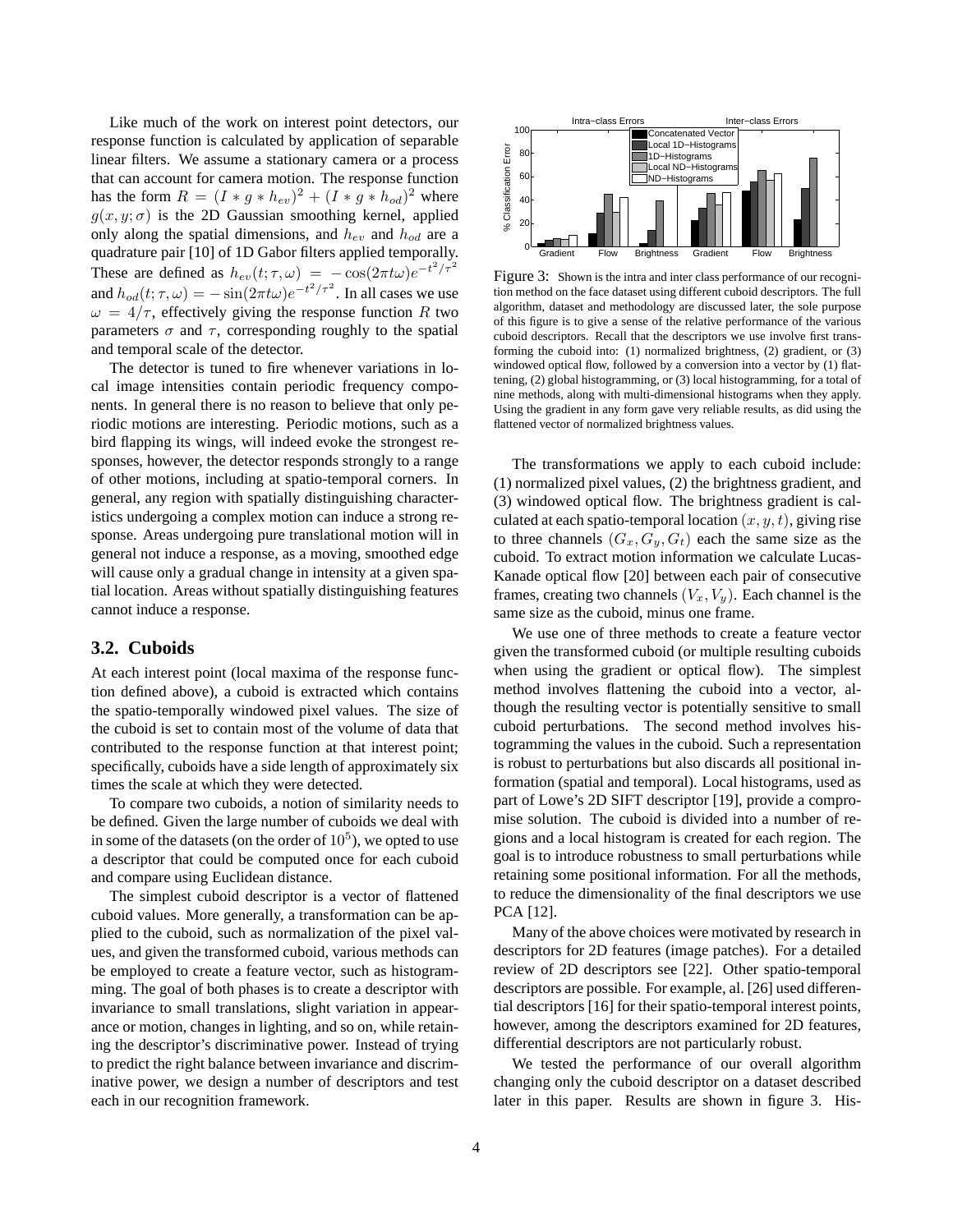Like much of the work on interest point detectors, our response function is calculated by application of separable linear filters. We assume a stationary camera or a process that can account for camera motion. The response function has the form  $R = (I * g * h_{ev})^2 + (I * g * h_{od})^2$  where  $g(x, y; \sigma)$  is the 2D Gaussian smoothing kernel, applied only along the spatial dimensions, and  $h_{ev}$  and  $h_{od}$  are a quadrature pair [10] of 1D Gabor filters applied temporally. These are defined as  $h_{ev}(t;\tau,\omega) = -\cos(2\pi t\omega)e^{-t^2/\tau^2}$ and  $h_{od}(t;\tau,\omega) = -\sin(2\pi t\omega)e^{-t^2/\tau^2}$ . In all cases we use  $\omega = 4/\tau$ , effectively giving the response function R two parameters  $\sigma$  and  $\tau$ , corresponding roughly to the spatial and temporal scale of the detector.

The detector is tuned to fire whenever variations in local image intensities contain periodic frequency components. In general there is no reason to believe that only periodic motions are interesting. Periodic motions, such as a bird flapping its wings, will indeed evoke the strongest responses, however, the detector responds strongly to a range of other motions, including at spatio-temporal corners. In general, any region with spatially distinguishing characteristics undergoing a complex motion can induce a strong response. Areas undergoing pure translational motion will in general not induce a response, as a moving, smoothed edge will cause only a gradual change in intensity at a given spatial location. Areas without spatially distinguishing features cannot induce a response.

#### **3.2. Cuboids**

At each interest point (local maxima of the response function defined above), a cuboid is extracted which contains the spatio-temporally windowed pixel values. The size of the cuboid is set to contain most of the volume of data that contributed to the response function at that interest point; specifically, cuboids have a side length of approximately six times the scale at which they were detected.

To compare two cuboids, a notion of similarity needs to be defined. Given the large number of cuboids we deal with in some of the datasets (on the order of  $10^5$ ), we opted to use a descriptor that could be computed once for each cuboid and compare using Euclidean distance.

The simplest cuboid descriptor is a vector of flattened cuboid values. More generally, a transformation can be applied to the cuboid, such as normalization of the pixel values, and given the transformed cuboid, various methods can be employed to create a feature vector, such as histogramming. The goal of both phases is to create a descriptor with invariance to small translations, slight variation in appearance or motion, changes in lighting, and so on, while retaining the descriptor's discriminative power. Instead of trying to predict the right balance between invariance and discriminative power, we design a number of descriptors and test each in our recognition framework.



Figure 3: Shown is the intra and inter class performance of our recognition method on the face dataset using different cuboid descriptors. The full algorithm, dataset and methodology are discussed later, the sole purpose of this figure is to give a sense of the relative performance of the various cuboid descriptors. Recall that the descriptors we use involve first transforming the cuboid into: (1) normalized brightness, (2) gradient, or (3) windowed optical flow, followed by a conversion into a vector by (1) flattening, (2) global histogramming, or (3) local histogramming, for a total of nine methods, along with multi-dimensional histograms when they apply. Using the gradient in any form gave very reliable results, as did using the flattened vector of normalized brightness values.

The transformations we apply to each cuboid include: (1) normalized pixel values, (2) the brightness gradient, and (3) windowed optical flow. The brightness gradient is calculated at each spatio-temporal location  $(x, y, t)$ , giving rise to three channels  $(G_x, G_y, G_t)$  each the same size as the cuboid. To extract motion information we calculate Lucas-Kanade optical flow [20] between each pair of consecutive frames, creating two channels  $(V_x, V_y)$ . Each channel is the same size as the cuboid, minus one frame.

We use one of three methods to create a feature vector given the transformed cuboid (or multiple resulting cuboids when using the gradient or optical flow). The simplest method involves flattening the cuboid into a vector, although the resulting vector is potentially sensitive to small cuboid perturbations. The second method involves histogramming the values in the cuboid. Such a representation is robust to perturbations but also discards all positional information (spatial and temporal). Local histograms, used as part of Lowe's 2D SIFT descriptor [19], provide a compromise solution. The cuboid is divided into a number of regions and a local histogram is created for each region. The goal is to introduce robustness to small perturbations while retaining some positional information. For all the methods, to reduce the dimensionality of the final descriptors we use PCA [12].

Many of the above choices were motivated by research in descriptors for 2D features (image patches). For a detailed review of 2D descriptors see [22]. Other spatio-temporal descriptors are possible. For example, al. [26] used differential descriptors [16] for their spatio-temporal interest points, however, among the descriptors examined for 2D features, differential descriptors are not particularly robust.

We tested the performance of our overall algorithm changing only the cuboid descriptor on a dataset described later in this paper. Results are shown in figure 3. His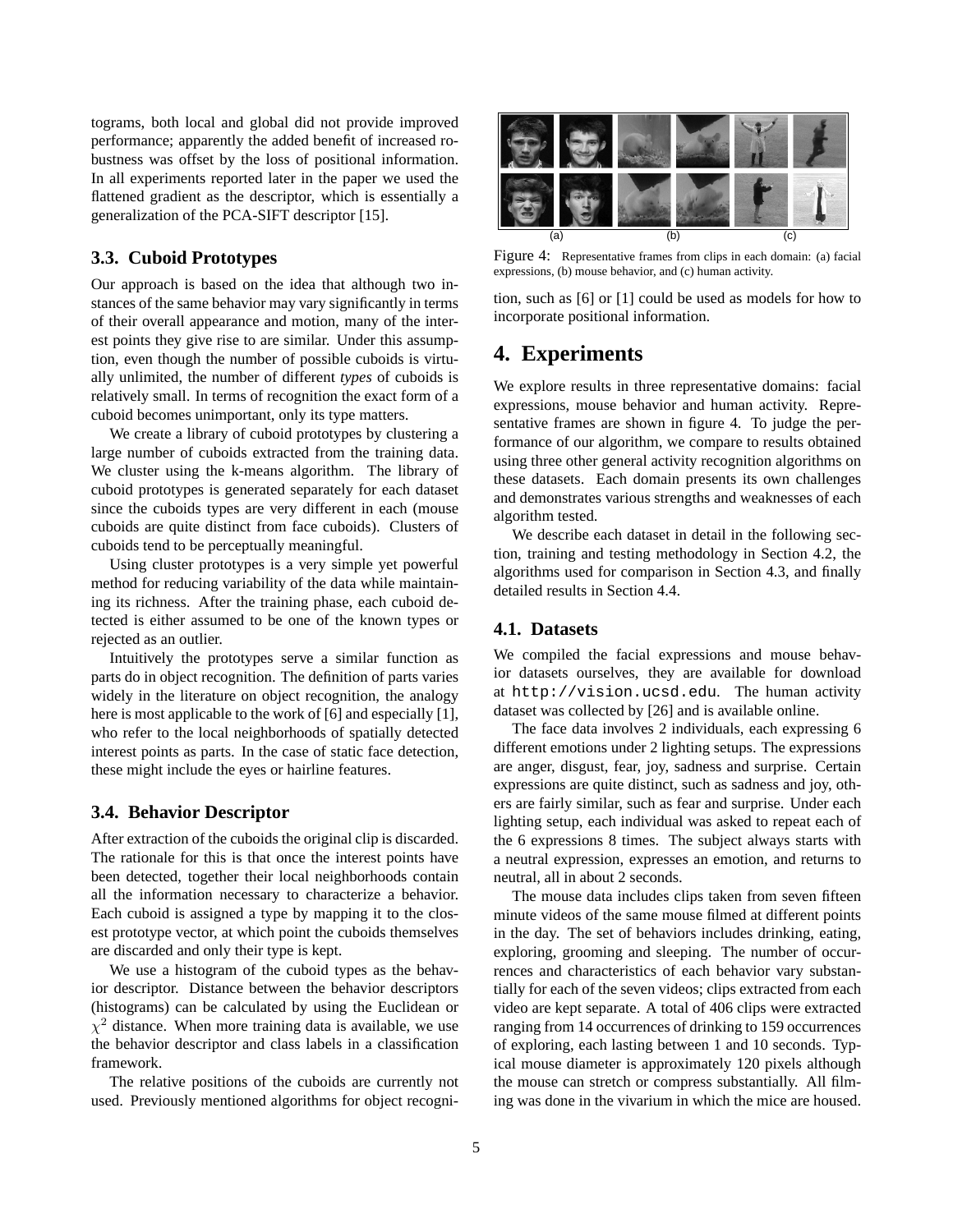tograms, both local and global did not provide improved performance; apparently the added benefit of increased robustness was offset by the loss of positional information. In all experiments reported later in the paper we used the flattened gradient as the descriptor, which is essentially a generalization of the PCA-SIFT descriptor [15].

### **3.3. Cuboid Prototypes**

Our approach is based on the idea that although two instances of the same behavior may vary significantly in terms of their overall appearance and motion, many of the interest points they give rise to are similar. Under this assumption, even though the number of possible cuboids is virtually unlimited, the number of different *types* of cuboids is relatively small. In terms of recognition the exact form of a cuboid becomes unimportant, only its type matters.

We create a library of cuboid prototypes by clustering a large number of cuboids extracted from the training data. We cluster using the k-means algorithm. The library of cuboid prototypes is generated separately for each dataset since the cuboids types are very different in each (mouse cuboids are quite distinct from face cuboids). Clusters of cuboids tend to be perceptually meaningful.

Using cluster prototypes is a very simple yet powerful method for reducing variability of the data while maintaining its richness. After the training phase, each cuboid detected is either assumed to be one of the known types or rejected as an outlier.

Intuitively the prototypes serve a similar function as parts do in object recognition. The definition of parts varies widely in the literature on object recognition, the analogy here is most applicable to the work of [6] and especially [1], who refer to the local neighborhoods of spatially detected interest points as parts. In the case of static face detection, these might include the eyes or hairline features.

### **3.4. Behavior Descriptor**

After extraction of the cuboids the original clip is discarded. The rationale for this is that once the interest points have been detected, together their local neighborhoods contain all the information necessary to characterize a behavior. Each cuboid is assigned a type by mapping it to the closest prototype vector, at which point the cuboids themselves are discarded and only their type is kept.

We use a histogram of the cuboid types as the behavior descriptor. Distance between the behavior descriptors (histograms) can be calculated by using the Euclidean or  $\chi^2$  distance. When more training data is available, we use the behavior descriptor and class labels in a classification framework.

The relative positions of the cuboids are currently not used. Previously mentioned algorithms for object recogni-



Figure 4: Representative frames from clips in each domain: (a) facial expressions, (b) mouse behavior, and (c) human activity.

tion, such as [6] or [1] could be used as models for how to incorporate positional information.

## **4. Experiments**

We explore results in three representative domains: facial expressions, mouse behavior and human activity. Representative frames are shown in figure 4. To judge the performance of our algorithm, we compare to results obtained using three other general activity recognition algorithms on these datasets. Each domain presents its own challenges and demonstrates various strengths and weaknesses of each algorithm tested.

We describe each dataset in detail in the following section, training and testing methodology in Section 4.2, the algorithms used for comparison in Section 4.3, and finally detailed results in Section 4.4.

### **4.1. Datasets**

We compiled the facial expressions and mouse behavior datasets ourselves, they are available for download at http://vision.ucsd.edu. The human activity dataset was collected by [26] and is available online.

The face data involves 2 individuals, each expressing 6 different emotions under 2 lighting setups. The expressions are anger, disgust, fear, joy, sadness and surprise. Certain expressions are quite distinct, such as sadness and joy, others are fairly similar, such as fear and surprise. Under each lighting setup, each individual was asked to repeat each of the 6 expressions 8 times. The subject always starts with a neutral expression, expresses an emotion, and returns to neutral, all in about 2 seconds.

The mouse data includes clips taken from seven fifteen minute videos of the same mouse filmed at different points in the day. The set of behaviors includes drinking, eating, exploring, grooming and sleeping. The number of occurrences and characteristics of each behavior vary substantially for each of the seven videos; clips extracted from each video are kept separate. A total of 406 clips were extracted ranging from 14 occurrences of drinking to 159 occurrences of exploring, each lasting between 1 and 10 seconds. Typical mouse diameter is approximately 120 pixels although the mouse can stretch or compress substantially. All filming was done in the vivarium in which the mice are housed.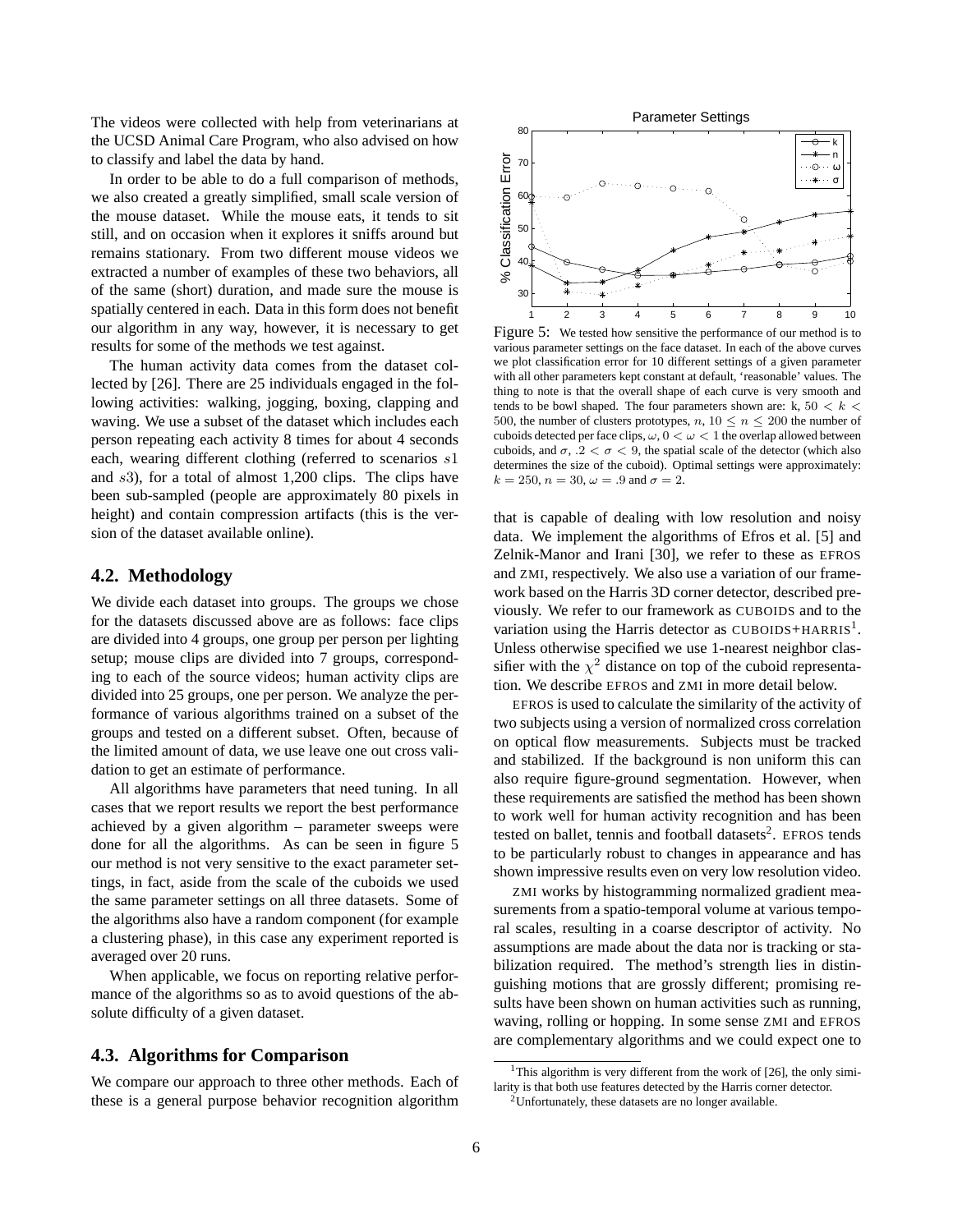The videos were collected with help from veterinarians at the UCSD Animal Care Program, who also advised on how to classify and label the data by hand.

In order to be able to do a full comparison of methods, we also created a greatly simplified, small scale version of the mouse dataset. While the mouse eats, it tends to sit still, and on occasion when it explores it sniffs around but remains stationary. From two different mouse videos we extracted a number of examples of these two behaviors, all of the same (short) duration, and made sure the mouse is spatially centered in each. Data in this form does not benefit our algorithm in any way, however, it is necessary to get results for some of the methods we test against.

The human activity data comes from the dataset collected by [26]. There are 25 individuals engaged in the following activities: walking, jogging, boxing, clapping and waving. We use a subset of the dataset which includes each person repeating each activity 8 times for about 4 seconds each, wearing different clothing (referred to scenarios s1 and s3), for a total of almost 1,200 clips. The clips have been sub-sampled (people are approximately 80 pixels in height) and contain compression artifacts (this is the version of the dataset available online).

### **4.2. Methodology**

We divide each dataset into groups. The groups we chose for the datasets discussed above are as follows: face clips are divided into 4 groups, one group per person per lighting setup; mouse clips are divided into 7 groups, corresponding to each of the source videos; human activity clips are divided into 25 groups, one per person. We analyze the performance of various algorithms trained on a subset of the groups and tested on a different subset. Often, because of the limited amount of data, we use leave one out cross validation to get an estimate of performance.

All algorithms have parameters that need tuning. In all cases that we report results we report the best performance achieved by a given algorithm – parameter sweeps were done for all the algorithms. As can be seen in figure 5 our method is not very sensitive to the exact parameter settings, in fact, aside from the scale of the cuboids we used the same parameter settings on all three datasets. Some of the algorithms also have a random component (for example a clustering phase), in this case any experiment reported is averaged over 20 runs.

When applicable, we focus on reporting relative performance of the algorithms so as to avoid questions of the absolute difficulty of a given dataset.

### **4.3. Algorithms for Comparison**

We compare our approach to three other methods. Each of these is a general purpose behavior recognition algorithm



Figure 5: We tested how sensitive the performance of our method is to various parameter settings on the face dataset. In each of the above curves we plot classification error for 10 different settings of a given parameter with all other parameters kept constant at default, 'reasonable' values. The thing to note is that the overall shape of each curve is very smooth and tends to be bowl shaped. The four parameters shown are: k,  $50 < k <$ 500, the number of clusters prototypes,  $n, 10 \le n \le 200$  the number of cuboids detected per face clips,  $\omega$ ,  $0 < \omega < 1$  the overlap allowed between cuboids, and  $\sigma$ , .2 <  $\sigma$  < 9, the spatial scale of the detector (which also determines the size of the cuboid). Optimal settings were approximately:  $k = 250, n = 30, \omega = .9$  and  $\sigma = 2$ .

that is capable of dealing with low resolution and noisy data. We implement the algorithms of Efros et al. [5] and Zelnik-Manor and Irani [30], we refer to these as EFROS and ZMI, respectively. We also use a variation of our framework based on the Harris 3D corner detector, described previously. We refer to our framework as CUBOIDS and to the variation using the Harris detector as CUBOIDS+HARRIS<sup>1</sup>. Unless otherwise specified we use 1-nearest neighbor classifier with the  $\chi^2$  distance on top of the cuboid representation. We describe EFROS and ZMI in more detail below.

EFROS is used to calculate the similarity of the activity of two subjects using a version of normalized cross correlation on optical flow measurements. Subjects must be tracked and stabilized. If the background is non uniform this can also require figure-ground segmentation. However, when these requirements are satisfied the method has been shown to work well for human activity recognition and has been tested on ballet, tennis and football datasets<sup>2</sup>. EFROS tends to be particularly robust to changes in appearance and has shown impressive results even on very low resolution video.

ZMI works by histogramming normalized gradient measurements from a spatio-temporal volume at various temporal scales, resulting in a coarse descriptor of activity. No assumptions are made about the data nor is tracking or stabilization required. The method's strength lies in distinguishing motions that are grossly different; promising results have been shown on human activities such as running, waving, rolling or hopping. In some sense ZMI and EFROS are complementary algorithms and we could expect one to

<sup>&</sup>lt;sup>1</sup>This algorithm is very different from the work of [26], the only similarity is that both use features detected by the Harris corner detector.

 $2$ Unfortunately, these datasets are no longer available.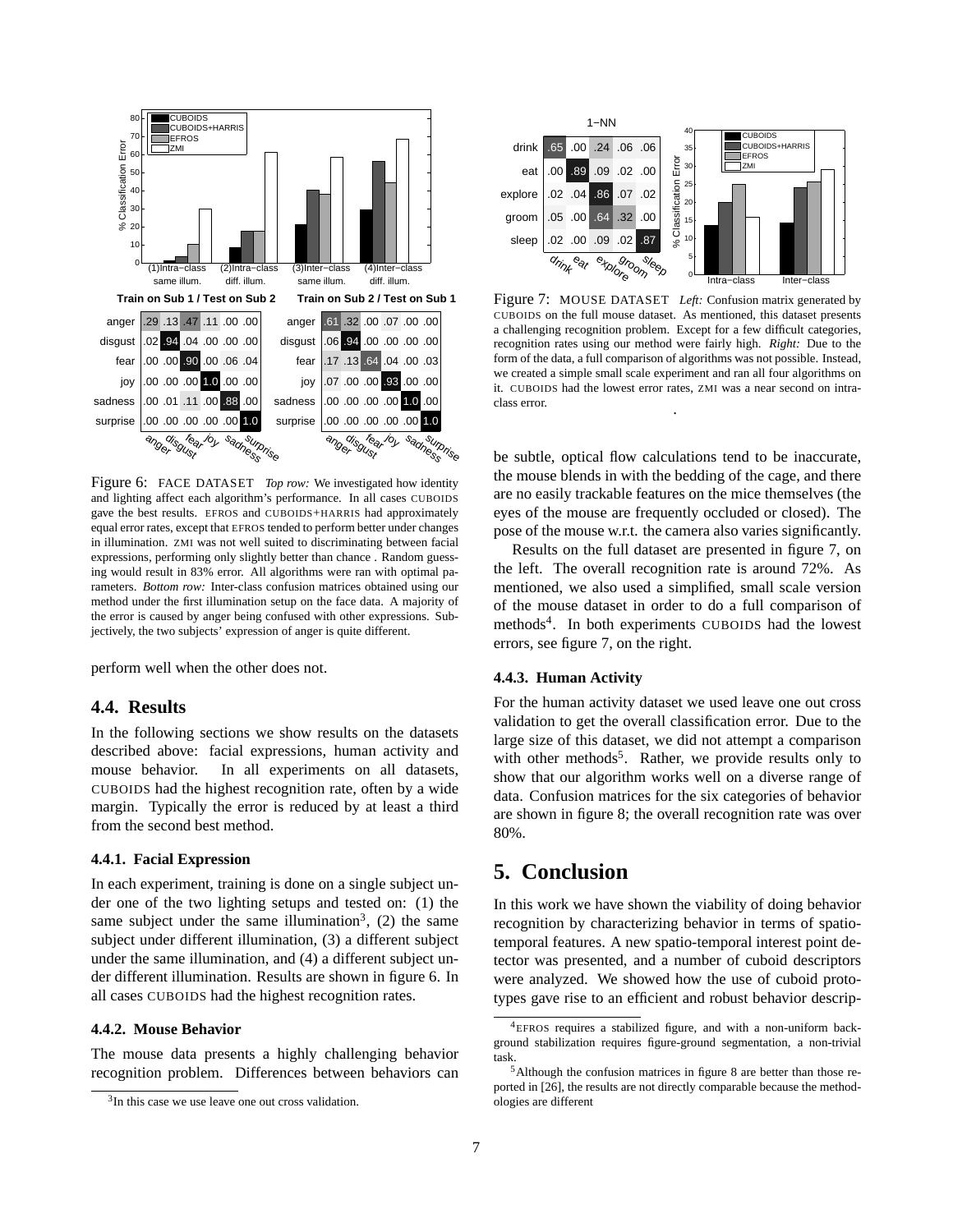

Figure 6: FACE DATASET *Top row:* We investigated how identity and lighting affect each algorithm's performance. In all cases CUBOIDS gave the best results. EFROS and CUBOIDS+HARRIS had approximately equal error rates, except that EFROS tended to perform better under changes in illumination. ZMI was not well suited to discriminating between facial expressions, performing only slightly better than chance . Random guessing would result in 83% error. All algorithms were ran with optimal parameters. *Bottom row:* Inter-class confusion matrices obtained using our method under the first illumination setup on the face data. A majority of the error is caused by anger being confused with other expressions. Subjectively, the two subjects' expression of anger is quite different.

perform well when the other does not.

#### **4.4. Results**

In the following sections we show results on the datasets described above: facial expressions, human activity and mouse behavior. In all experiments on all datasets, CUBOIDS had the highest recognition rate, often by a wide margin. Typically the error is reduced by at least a third from the second best method.

#### **4.4.1. Facial Expression**

In each experiment, training is done on a single subject under one of the two lighting setups and tested on: (1) the same subject under the same illumination<sup>3</sup>, (2) the same subject under different illumination, (3) a different subject under the same illumination, and (4) a different subject under different illumination. Results are shown in figure 6. In all cases CUBOIDS had the highest recognition rates.

#### **4.4.2. Mouse Behavior**

The mouse data presents a highly challenging behavior recognition problem. Differences between behaviors can



Figure 7: MOUSE DATASET *Left:* Confusion matrix generated by CUBOIDS on the full mouse dataset. As mentioned, this dataset presents a challenging recognition problem. Except for a few difficult categories, recognition rates using our method were fairly high. *Right:* Due to the form of the data, a full comparison of algorithms was not possible. Instead, we created a simple small scale experiment and ran all four algorithms on it. CUBOIDS had the lowest error rates, ZMI was a near second on intraclass error. .

be subtle, optical flow calculations tend to be inaccurate, the mouse blends in with the bedding of the cage, and there are no easily trackable features on the mice themselves (the eyes of the mouse are frequently occluded or closed). The pose of the mouse w.r.t. the camera also varies significantly.

Results on the full dataset are presented in figure 7, on the left. The overall recognition rate is around 72%. As mentioned, we also used a simplified, small scale version of the mouse dataset in order to do a full comparison of methods<sup>4</sup>. In both experiments CUBOIDS had the lowest errors, see figure 7, on the right.

#### **4.4.3. Human Activity**

For the human activity dataset we used leave one out cross validation to get the overall classification error. Due to the large size of this dataset, we did not attempt a comparison with other methods<sup>5</sup>. Rather, we provide results only to show that our algorithm works well on a diverse range of data. Confusion matrices for the six categories of behavior are shown in figure 8; the overall recognition rate was over 80%.

## **5. Conclusion**

In this work we have shown the viability of doing behavior recognition by characterizing behavior in terms of spatiotemporal features. A new spatio-temporal interest point detector was presented, and a number of cuboid descriptors were analyzed. We showed how the use of cuboid prototypes gave rise to an efficient and robust behavior descrip-

<sup>&</sup>lt;sup>3</sup>In this case we use leave one out cross validation.

<sup>&</sup>lt;sup>4</sup>EFROS requires a stabilized figure, and with a non-uniform background stabilization requires figure-ground segmentation, a non-trivial task.

<sup>5</sup>Although the confusion matrices in figure 8 are better than those reported in [26], the results are not directly comparable because the methodologies are different